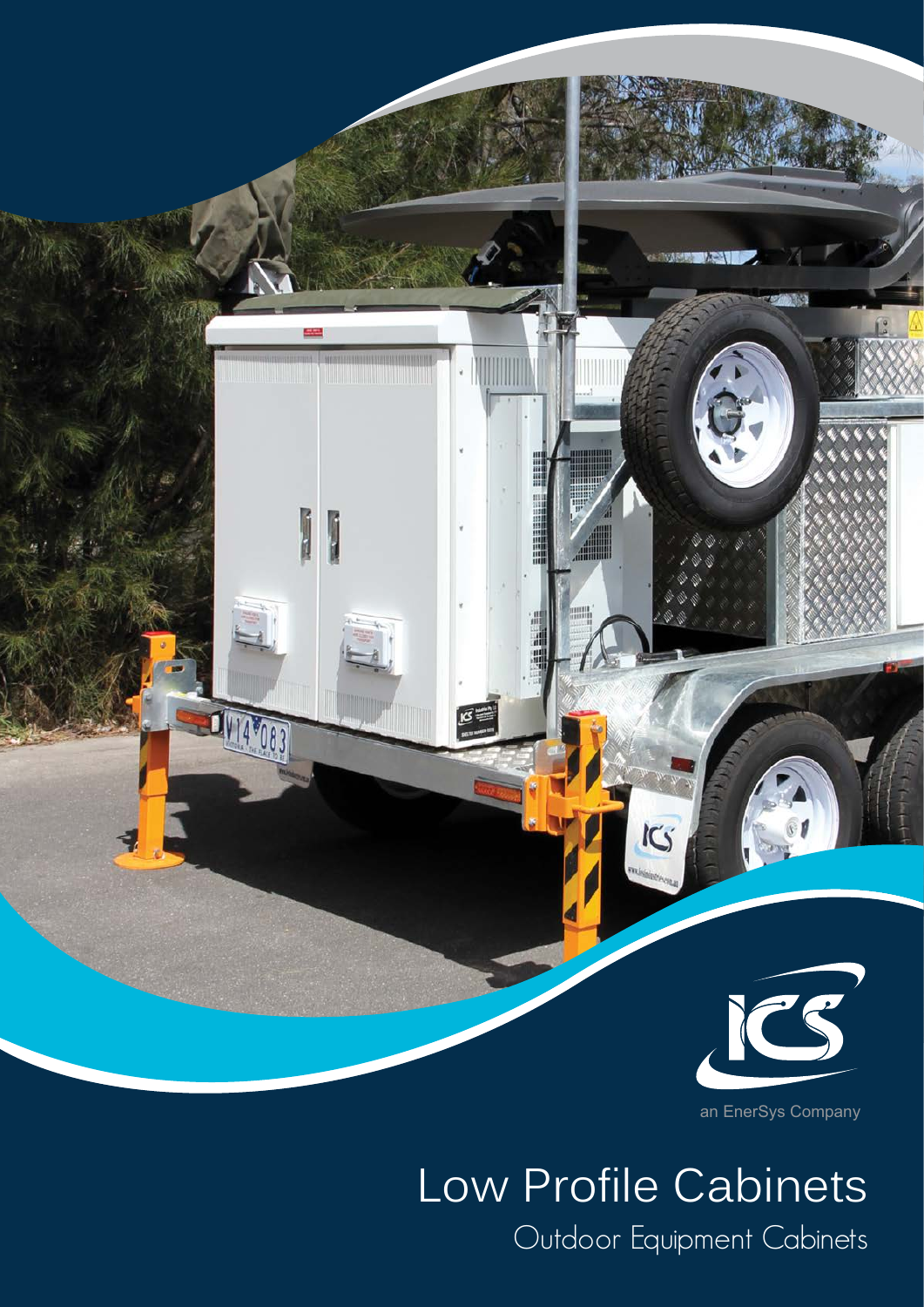

an EnerSys Company

# Low Profile Cabinets Outdoor Equipment Cabinets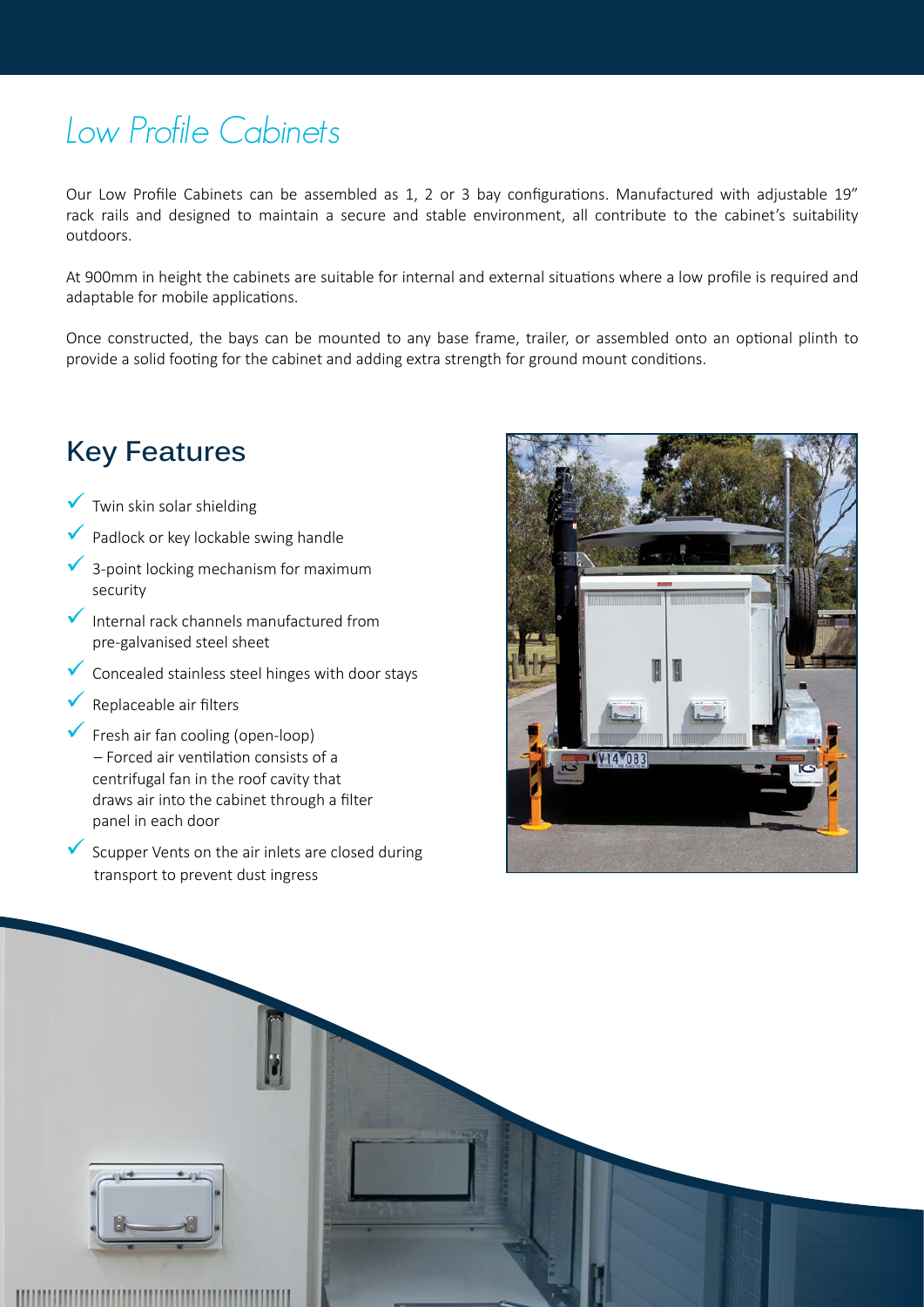## Low Profile Cabinets

Our Low Profile Cabinets can be assembled as 1, 2 or 3 bay configurations. Manufactured with adjustable 19" rack rails and designed to maintain a secure and stable environment, all contribute to the cabinet's suitability outdoors.

At 900mm in height the cabinets are suitable for internal and external situations where a low profile is required and adaptable for mobile applications.

Once constructed, the bays can be mounted to any base frame, trailer, or assembled onto an optional plinth to provide a solid footing for the cabinet and adding extra strength for ground mount conditions.

### **Key Features**

- $\sqrt{\ }$  Twin skin solar shielding
- 9 Padlock or key lockable swing handle
- 9 3-point locking mechanism for maximum security
- $\blacktriangleright$  Internal rack channels manufactured from pre-galvanised steel sheet
- $\checkmark$  Concealed stainless steel hinges with door stays
- Replaceable air filters
- Fresh air fan cooling (open-loop) – Forced air ventilation consists of a centrifugal fan in the roof cavity that draws air into the cabinet through a filter panel in each door
- Scupper Vents on the air inlets are closed during transport to prevent dust ingress



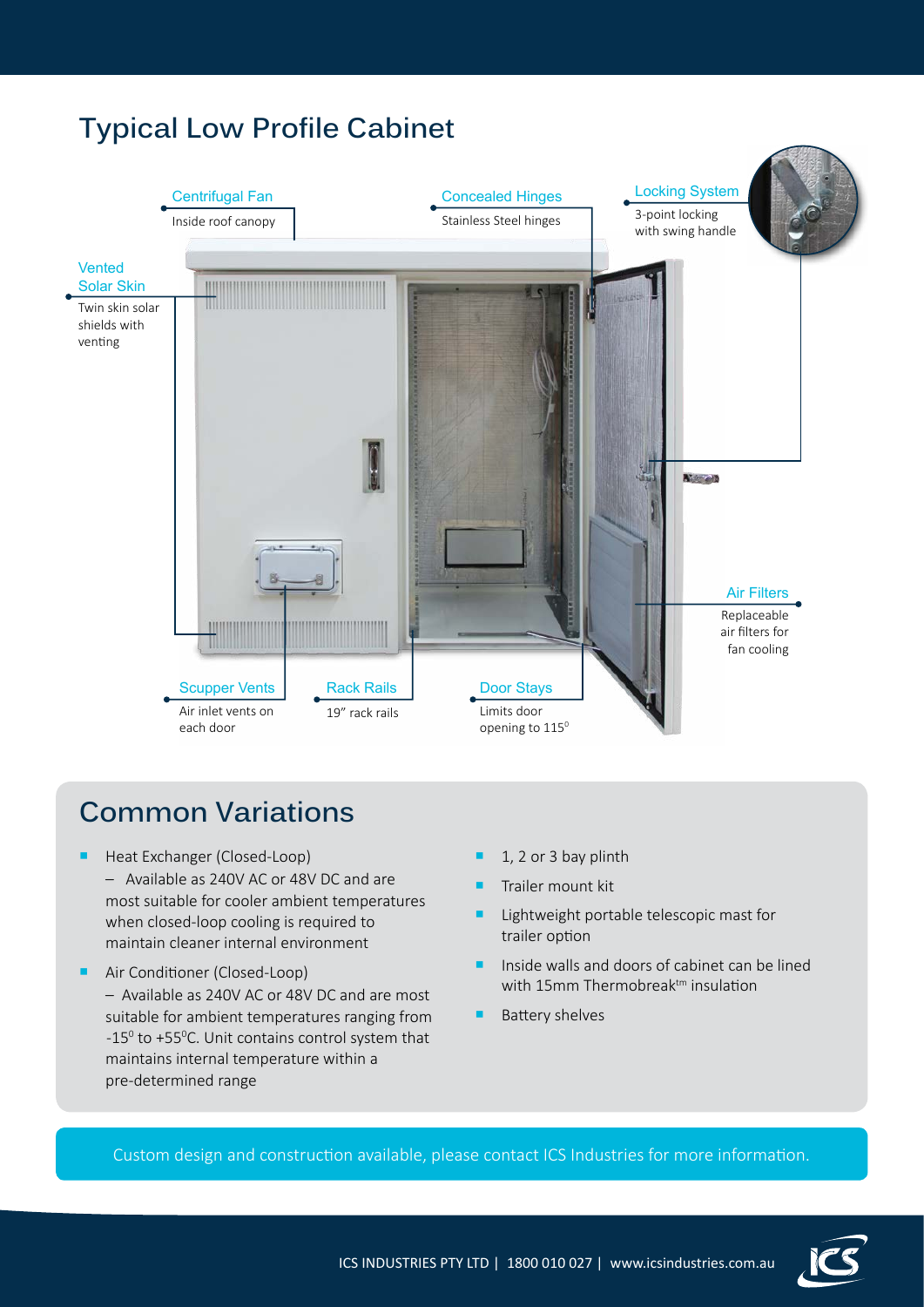#### **Typical Low Profile Cabinet** Concealed Hinges Centrifugal Fan Locking System 3-point locking Inside roof canopy Stainless Steel hinges with swing handle Vented Solar Skin Twin skin solar shields with venting **A' end** Air Filters Replaceable air filters for fan cooling Scupper Vents Door Stays Rack Rails Air inlet vents on Limits door 19" rack rails each door opening to 115<sup>0</sup>

## **Common Variations**

- Heat Exchanger (Closed-Loop)
	- Available as 240V AC or 48V DC and are most suitable for cooler ambient temperatures when closed-loop cooling is required to maintain cleaner internal environment
- Air Conditioner (Closed-Loop) – Available as 240V AC or 48V DC and are most suitable for ambient temperatures ranging from  $-15^{\circ}$  to +55 $^{\circ}$ C. Unit contains control system that maintains internal temperature within a pre-determined range
- 1, 2 or 3 bay plinth
- Trailer mount kit
- Lightweight portable telescopic mast for trailer option
- Inside walls and doors of cabinet can be lined with 15mm Thermobreak<sup>tm</sup> insulation
- Battery shelves

Custom design and construction available, please contact ICS Industries for more information.